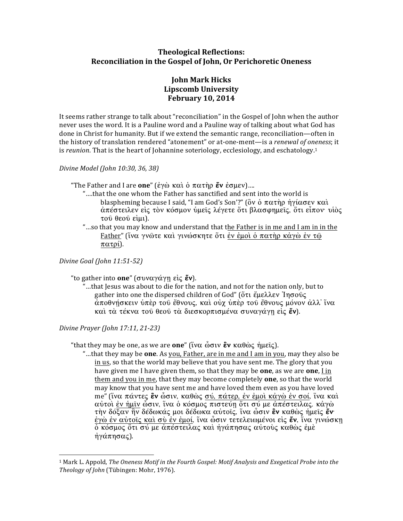# **Theological Reflections:** Reconciliation in the Gospel of John, Or Perichoretic Oneness

# **John Mark Hicks Lipscomb University February 10, 2014**

It seems rather strange to talk about "reconciliation" in the Gospel of John when the author never uses the word. It is a Pauline word and a Pauline way of talking about what God has done in Christ for humanity. But if we extend the semantic range, reconciliation—often in the history of translation rendered "atonement" or at-one-ment-is a renewal of oneness; it is reunion. That is the heart of Johannine soteriology, ecclesiology, and eschatology.<sup>1</sup>

#### Divine Model (John 10:30, 36, 38)

- "The Father and I are one" (έγὼ καὶ ὁ πατὴρ ἕν ἐσμεν)....
	- "....that the one whom the Father has sanctified and sent into the world is blaspheming because I said, "I am God's Son'?" (ὃν ὁ πατὴρ ἡγίασεν καὶ άπέστειλεν εἰς τὸν κόσμον ὑμεῖς λέγετε ὅτι βλασφημεῖς, ὅτι εἶπον· υἱὸς τού θεού είμι).
	- "...so that you may know and understand that the Father is in me and I am in in the Father" (ΐνα γνώτε και γινώσκητε ότι έν έμοι ο πατηρ κάγω έν τω  $πατρί$ ).

Divine Goal (John 11:51-52)

"to gather into **one**" (συναγάγη είς **ἕν**).

"...that Jesus was about to die for the nation, and not for the nation only, but to gather into one the dispersed children of God" (ὅτι ἔμελλεν Ἰησούς άποθνήσκειν ύπὲρ τοῦ ἔθνους, καὶ οὐχ ὑπὲρ τοῦ ἔθνους μόνον ἀλλ' ἵνα και τα τέκνα του θεου τα διεσκορπισμένα συναγάγη είς έν).

Divine Prayer (John 17:11, 21-23)

"that they may be one, as we are **one**" (ἴνα ὦσιν **εν** καθὼς ἡμεῖς).

"...that they may be **one**. As you, Father, are in me and I am in you, may they also be in us, so that the world may believe that you have sent me. The glory that you have given me I have given them, so that they may be **one**, as we are **one**, I in them and you in me, that they may become completely **one**, so that the world may know that you have sent me and have loved them even as you have loved me" (ΐνα πάντες εν ώσιν, καθώς σύ, πάτερ, έν έμοι κάγω έν σοί, ΐνα και αύτοι έν ήμιν ώσιν, ίνα ο κόσμος πιστεύη ότι σύ με απέστειλας. κάγω τὴν δόξαν ἣν δέδωκάς μοι δέδωκα αὐτοῖς, ἵνα ὦσιν **ἓν** καθὼς ἡμεῖς **ἔν**· έγώ έν αύτοις και συ έν έμοί, ίνα ώσιν τετελειωμένοι είς έν, ίνα γινώσκη δ κόσμος ότι σύ με απέστειλας και ηγάπησας αυτούς καθώς έμε ήγάπησας).

<sup>&</sup>lt;sup>1</sup> Mark L. Appold, The Oneness Motif in the Fourth Gospel: Motif Analysis and Exegetical Probe into the Theology of John (Tübingen: Mohr, 1976).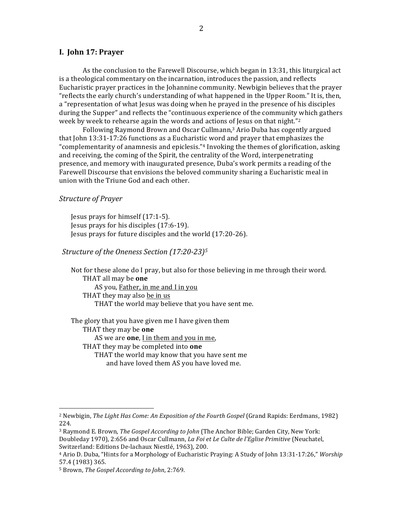#### I. John 17: Prayer

As the conclusion to the Farewell Discourse, which began in 13:31, this liturgical act is a theological commentary on the incarnation, introduces the passion, and reflects Eucharistic prayer practices in the Johannine community. Newbigin believes that the prayer "reflects the early church's understanding of what happened in the Upper Room." It is, then, a "representation of what Jesus was doing when he prayed in the presence of his disciples during the Supper" and reflects the "continuous experience of the community which gathers week by week to rehearse again the words and actions of Jesus on that night."2

Following Raymond Brown and Oscar Cullmann,<sup>3</sup> Ario Duba has cogently argued that John 13:31-17:26 functions as a Eucharistic word and prayer that emphasizes the "complementarity of anamnesis and epiclesis."<sup>4</sup> Invoking the themes of glorification, asking and receiving, the coming of the Spirit, the centrality of the Word, interpenetrating presence, and memory with inaugurated presence, Duba's work permits a reading of the Farewell Discourse that envisions the beloved community sharing a Eucharistic meal in union with the Triune God and each other.

#### **Structure of Prayer**

Jesus prays for himself  $(17:1-5)$ . Jesus prays for his disciples (17:6-19). Jesus prays for future disciples and the world (17:20-26).

#### Structure of the Oneness Section (17:20-23)<sup>5</sup>

Not for these alone do I pray, but also for those believing in me through their word. THAT all may be one AS you, Father, in me and I in you THAT they may also be in us THAT the world may believe that you have sent me.

The glory that you have given me I have given them THAT they may be one AS we are one, I in them and you in me, THAT they may be completed into **one** THAT the world may know that you have sent me and have loved them AS you have loved me.

<sup>&</sup>lt;sup>2</sup> Newbigin, The Light Has Come: An Exposition of the Fourth Gospel (Grand Rapids: Eerdmans, 1982) 224.

<sup>&</sup>lt;sup>3</sup> Raymond E. Brown, The Gospel According to John (The Anchor Bible; Garden City, New York: Doubleday 1970), 2:656 and Oscar Cullmann, *La Foi et Le Culte de l'Eglise Primitive* (Neuchatel, Switzerland: Editions De-lachaux Niestlé, 1963), 200.

<sup>&</sup>lt;sup>4</sup> Ario D. Duba, "Hints for a Morphology of Eucharistic Praying: A Study of John 13:31-17:26," Worship 57.4 (1983) 365.

<sup>&</sup>lt;sup>5</sup> Brown, The Gospel According to John, 2:769.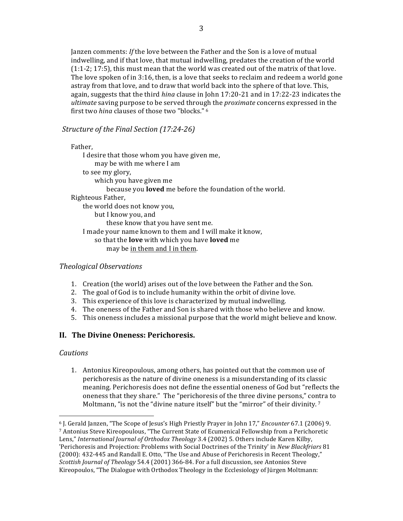Janzen comments: If the love between the Father and the Son is a love of mutual indwelling, and if that love, that mutual indwelling, predates the creation of the world (1:1-2; 17:5), this must mean that the world was created out of the matrix of that love. The love spoken of in 3:16, then, is a love that seeks to reclaim and redeem a world gone astray from that love, and to draw that world back into the sphere of that love. This, again, suggests that the third hina clause in John 17:20-21 and in 17:22-23 indicates the ultimate saving purpose to be served through the *proximate* concerns expressed in the first two hing clauses of those two "blocks." <sup>6</sup>

Structure of the Final Section (17:24-26)

Father. I desire that those whom you have given me, may be with me where I am to see my glory, which you have given me because you **loved** me before the foundation of the world. Righteous Father, the world does not know you, but I know you, and these know that you have sent me. I made your name known to them and I will make it know, so that the **love** with which you have **loved** me may be in them and I in them.

## **Theological Observations**

- 1. Creation (the world) arises out of the love between the Father and the Son.
- 2. The goal of God is to include humanity within the orbit of divine love.
- 3. This experience of this love is characterized by mutual indwelling.
- 4. The oneness of the Father and Son is shared with those who believe and know.
- 5. This oneness includes a missional purpose that the world might believe and know.

## II. The Divine Oneness: Perichoresis.

## **Cautions**

1. Antonius Kireopoulous, among others, has pointed out that the common use of perichoresis as the nature of divine oneness is a misunderstanding of its classic meaning. Perichoresis does not define the essential oneness of God but "reflects the oneness that they share." The "perichoresis of the three divine persons," contra to Moltmann, "is not the "divine nature itself" but the "mirror" of their divinity.<sup>7</sup>

<sup>&</sup>lt;sup>6</sup> J. Gerald Janzen, "The Scope of Jesus's High Priestly Prayer in John 17," Encounter 67.1 (2006) 9. 7 Antonius Steve Kireopoulous, "The Current State of Ecumenical Fellowship from a Perichoretic Lens," International Journal of Orthodox Theology 3.4 (2002) 5. Others include Karen Kilby, 'Perichoresis and Projection: Problems with Social Doctrines of the Trinity' in New Blackfriars 81 (2000): 432-445 and Randall E. Otto, "The Use and Abuse of Perichoresis in Recent Theology," Scottish Journal of Theology 54.4 (2001) 366-84. For a full discussion, see Antonios Steve Kireopoulos, "The Dialogue with Orthodox Theology in the Ecclesiology of Jürgen Moltmann: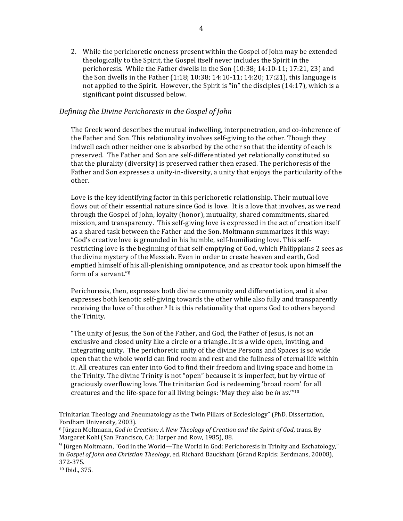2. While the perichoretic oneness present within the Gospel of John may be extended theologically to the Spirit, the Gospel itself never includes the Spirit in the perichoresis. While the Father dwells in the Son (10:38; 14:10-11; 17:21, 23) and the Son dwells in the Father  $(1:18; 10:38; 14:10-11; 14:20; 17:21)$ , this language is not applied to the Spirit. However, the Spirit is "in" the disciples  $(14:17)$ , which is a significant point discussed below.

#### *Defining'the'Divine'Perichoresis in'the'Gospel of'John*

The Greek word describes the mutual indwelling, interpenetration, and co-inherence of the Father and Son. This relationality involves self-giving to the other. Though they indwell each other neither one is absorbed by the other so that the identity of each is preserved. The Father and Son are self-differentiated yet relationally constituted so that the plurality (diversity) is preserved rather then erased. The perichoresis of the Father and Son expresses a unity-in-diversity, a unity that enjoys the particularity of the other.

Love is the key identifying factor in this perichoretic relationship. Their mutual love flows out of their essential nature since God is love. It is a love that involves, as we read through the Gospel of John, loyalty (honor), mutuality, shared commitments, shared mission, and transparency. This self-giving love is expressed in the act of creation itself as a shared task between the Father and the Son. Moltmann summarizes it this way: "God's creative love is grounded in his humble, self-humiliating love. This selfrestricting love is the beginning of that self-emptying of God, which Philippians 2 sees as the divine mystery of the Messiah. Even in order to create heaven and earth, God emptied himself of his all-plenishing omnipotence, and as creator took upon himself the form of a servant."<sup>8</sup>

Perichoresis, then, expresses both divine community and differentiation, and it also expresses both kenotic self-giving towards the other while also fully and transparently receiving the love of the other.<sup>9</sup> It is this relationality that opens God to others beyond the Trinity.

"The unity of Jesus, the Son of the Father, and God, the Father of Jesus, is not an exclusive and closed unity like a circle or a triangle...It is a wide open, inviting, and integrating unity. The perichoretic unity of the divine Persons and Spaces is so wide open that the whole world can find room and rest and the fullness of eternal life within it. All creatures can enter into God to find their freedom and living space and home in the Trinity. The divine Trinity is not "open" because it is imperfect, but by virtue of graciously overflowing love. The trinitarian God is redeeming 'broad room' for all creatures and the life-space for all living beings: 'May they also be *in us*.'"<sup>10</sup>

!!!!!!!!!!!!!!!!!!!!!!!!!!!!!!!!!!!!!!!!!!!!!!!!!!!!!!!!!!!!!!!!!!!!!!!!!!!!!!!!!!!!!!!!!!!!!!!!!!!!!!!!!!!!!!!!!!!!!!!!!!!!!!!!!!!!!!!!!!!!!!!!!!!!!!!!!!!!!!!!!!!!

<sup>10</sup> Ibid., 375.

Trinitarian Theology and Pneumatology as the Twin Pillars of Ecclesiology" (PhD. Dissertation, Fordham University, 2003).

<sup>&</sup>lt;sup>8</sup> Jürgen Moltmann, *God in Creation: A New Theology of Creation and the Spirit of God*, trans. By Margaret Kohl (San Francisco, CA: Harper and Row, 1985), 88.

<sup>&</sup>lt;sup>9</sup> Jürgen Moltmann, "God in the World—The World in God: Perichoresis in Trinity and Eschatology." in *Gospel of John and Christian Theology*, ed. Richard Bauckham (Grand Rapids: Eerdmans, 20008), 372-375.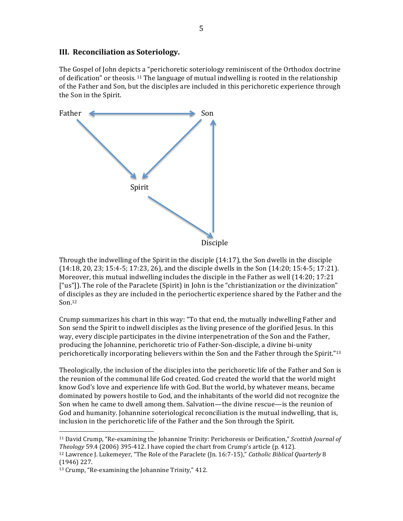## III. Reconciliation as Soteriology.

The Gospel of John depicts a "perichoretic soteriology reminiscent of the Orthodox doctrine of deification" or theosis.<sup>11</sup> The language of mutual indwelling is rooted in the relationship of the Father and Son, but the disciples are included in this perichoretic experience through the Son in the Spirit.



Through the indwelling of the Spirit in the disciple (14:17), the Son dwells in the disciple  $(14:18, 20, 23; 15:4-5; 17:23, 26)$ , and the disciple dwells in the Son  $(14:20; 15:4-5; 17:21)$ . Moreover, this mutual indwelling includes the disciple in the Father as well (14:20; 17:21 ["us"]). The role of the Paraclete (Spirit) in John is the "christianization or the divinization" of disciples as they are included in the periochertic experience shared by the Father and the  $Son<sub>.12</sub>$ 

Crump summarizes his chart in this way: "To that end, the mutually indwelling Father and Son send the Spirit to indwell disciples as the living presence of the glorified Jesus. In this way, every disciple participates in the divine interpenetration of the Son and the Father, producing the Johannine, perichoretic trio of Father-Son-disciple, a divine bi-unity perichoretically incorporating believers within the Son and the Father through the Spirit."13

Theologically, the inclusion of the disciples into the perichoretic life of the Father and Son is the reunion of the communal life God created. God created the world that the world might know God's love and experience life with God. But the world, by whatever means, became dominated by powers hostile to God, and the inhabitants of the world did not recognize the Son when he came to dwell among them. Salvation—the divine rescue—is the reunion of God and humanity. Johannine soteriological reconciliation is the mutual indwelling, that is, inclusion in the perichoretic life of the Father and the Son through the Spirit.

<sup>&</sup>lt;sup>11</sup> David Crump, "Re-examining the Johannine Trinity: Perichoresis or Deification," Scottish Journal of *Theology* 59.4 (2006) 395-412. I have copied the chart from Crump's article (p. 412).

<sup>&</sup>lt;sup>12</sup> Lawrence J. Lukemeyer, "The Role of the Paraclete (Jn. 16:7-15)," Catholic Biblical Quarterly 8  $(1946)$  227.

<sup>&</sup>lt;sup>13</sup> Crump, "Re-examining the Johannine Trinity," 412.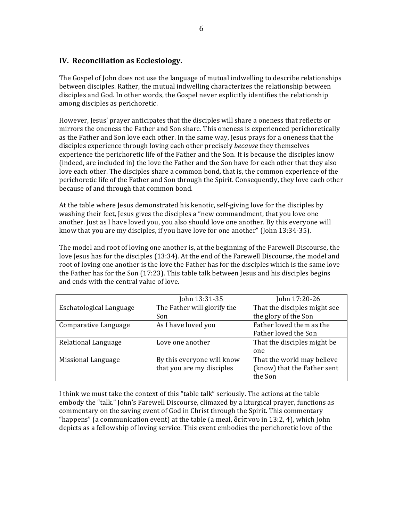## **IV. Reconciliation as Ecclesiology.**

The Gospel of John does not use the language of mutual indwelling to describe relationships between disciples. Rather, the mutual indwelling characterizes the relationship between disciples and God. In other words, the Gospel never explicitly identifies the relationship among disciples as perichoretic.

However, Jesus' prayer anticipates that the disciples will share a oneness that reflects or mirrors the oneness the Father and Son share. This oneness is experienced perichoretically as the Father and Son love each other. In the same way, Jesus prays for a oneness that the disciples experience through loving each other precisely *because* they themselves experience the perichoretic life of the Father and the Son. It is because the disciples know (indeed, are included in) the love the Father and the Son have for each other that they also love each other. The disciples share a common bond, that is, the common experience of the perichoretic life of the Father and Son through the Spirit. Consequently, they love each other because of and through that common bond.

At the table where Jesus demonstrated his kenotic, self-giving love for the disciples by washing their feet, Jesus gives the disciples a "new commandment, that you love one another. Just as I have loved you, you also should love one another. By this everyone will know that you are my disciples, if you have love for one another" (John 13:34-35).

The model and root of loving one another is, at the beginning of the Farewell Discourse, the love Jesus has for the disciples (13:34). At the end of the Farewell Discourse, the model and root of loving one another is the love the Father has for the disciples which is the same love the Father has for the Son (17:23). This table talk between Jesus and his disciples begins and ends with the central value of love.

|                         | John 13:31-35               | John 17:20-26                |
|-------------------------|-----------------------------|------------------------------|
| Eschatological Language | The Father will glorify the | That the disciples might see |
|                         | Son                         | the glory of the Son         |
| Comparative Language    | As I have loved you         | Father loved them as the     |
|                         |                             | Father loved the Son         |
| Relational Language     | Love one another            | That the disciples might be  |
|                         |                             | one                          |
| Missional Language      | By this everyone will know  | That the world may believe   |
|                         | that you are my disciples   | (know) that the Father sent  |
|                         |                             | the Son                      |

I think we must take the context of this "table talk" seriously. The actions at the table embody the "talk." John's Farewell Discourse, climaxed by a liturgical prayer, functions as commentary on the saving event of God in Christ through the Spirit. This commentary "happens" (a communication event) at the table (a meal,  $\delta \epsilon \times v$  in 13:2, 4), which John depicts as a fellowship of loving service. This event embodies the perichoretic love of the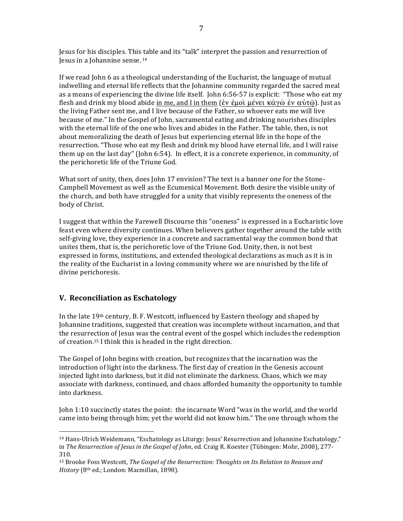Jesus for his disciples. This table and its "talk" interpret the passion and resurrection of Jesus in a Johannine sense.<sup>14</sup>

If we read John 6 as a theological understanding of the Eucharist, the language of mutual indwelling and eternal life reflects that the Johannine community regarded the sacred meal as a means of experiencing the divine life itself. John 6:56-57 is explicit: "Those who eat my flesh and drink my blood abide in me, and I in them (εν εμοί μένει κάγὼ εν αύτῶ). Just as the living Father sent me, and I live because of the Father, so whoever eats me will live because of me." In the Gospel of John, sacramental eating and drinking nourishes disciples with the eternal life of the one who lives and abides in the Father. The table, then, is not about memoralizing the death of Jesus but experiencing eternal life in the hope of the resurrection. "Those who eat my flesh and drink my blood have eternal life, and I will raise them up on the last day" (John 6:54). In effect, it is a concrete experience, in community, of the perichoretic life of the Triune God.

What sort of unity, then, does John 17 envision? The text is a banner one for the Stone-Campbell Movement as well as the Ecumenical Movement. Both desire the visible unity of the church, and both have struggled for a unity that visibly represents the oneness of the body of Christ.

I suggest that within the Farewell Discourse this "oneness" is expressed in a Eucharistic love feast even where diversity continues. When believers gather together around the table with self-giving love, they experience in a concrete and sacramental way the common bond that unites them, that is, the perichoretic love of the Triune God. Unity, then, is not best expressed in forms, institutions, and extended theological declarations as much as it is in the reality of the Eucharist in a loving community where we are nourished by the life of divine perichoresis.

## V. Reconciliation as Eschatology

In the late 19th century, B. F. Westcott, influenced by Eastern theology and shaped by Johannine traditions, suggested that creation was incomplete without incarnation, and that the resurrection of Jesus was the central event of the gospel which includes the redemption of creation.<sup>15</sup> I think this is headed in the right direction.

The Gospel of John begins with creation, but recognizes that the incarnation was the introduction of light into the darkness. The first day of creation in the Genesis account injected light into darkness, but it did not eliminate the darkness. Chaos, which we may associate with darkness, continued, and chaos afforded humanity the opportunity to tumble into darkness.

John 1:10 succinctly states the point: the incarnate Word "was in the world, and the world came into being through him; yet the world did not know him." The one through whom the

<sup>&</sup>lt;sup>14</sup> Hans-Ulrich Weidemann, "Eschatology as Liturgy: Jesus' Resurrection and Johannine Eschatology," in The Resurrection of Jesus in the Gospel of John, ed. Craig R. Koester (Tübingen: Mohr, 2008), 277-310.

<sup>&</sup>lt;sup>15</sup> Brooke Foss Westcott, The Gospel of the Resurrection: Thoughts on Its Relation to Reason and History (8th ed.; London: Macmillan, 1898).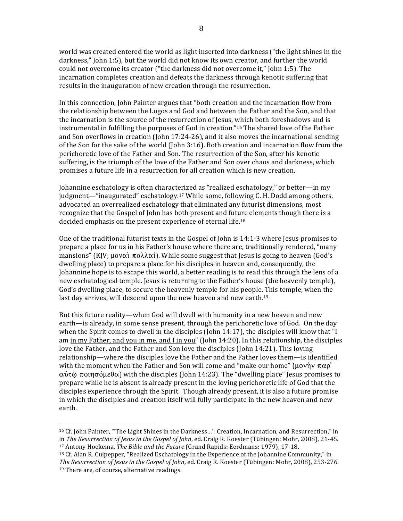world was created entered the world as light inserted into darkness ("the light shines in the darkness," John 1:5), but the world did not know its own creator, and further the world could not overcome its creator ("the darkness did not overcome it," John 1:5). The incarnation completes creation and defeats the darkness through kenotic suffering that results in the inauguration of new creation through the resurrection.

In this connection, John Painter argues that "both creation and the incarnation flow from the relationship between the Logos and God and between the Father and the Son, and that the incarnation is the source of the resurrection of Jesus, which both foreshadows and is instrumental in fulfilling the purposes of God in creation."<sup>16</sup> The shared love of the Father and Son overflows in creation (John 17:24-26), and it also moves the incarnational sending of the Son for the sake of the world (John 3:16). Both creation and incarnation flow from the perichoretic love of the Father and Son. The resurrection of the Son, after his kenotic suffering, is the triumph of the love of the Father and Son over chaos and darkness, which promises a future life in a resurrection for all creation which is new creation.

Johannine eschatology is often characterized as "realized eschatology," or better—in my judgment—"inaugurated" eschatology.<sup>17</sup> While some, following C. H. Dodd among others, advocated an overrealized eschatology that eliminated any futurist dimensions, most recognize that the Gospel of John has both present and future elements though there is a decided emphasis on the present experience of eternal life.<sup>18</sup>

One of the traditional futurist texts in the Gospel of John is 14:1-3 where Jesus promises to prepare a place for us in his Father's house where there are, traditionally rendered, "many mansions" (KJV;  $\mu$ ov $\alpha\lambda$   $\pi$ o $\lambda\lambda\alpha$ i). While some suggest that Jesus is going to heaven (God's dwelling place) to prepare a place for his disciples in heaven and, consequently, the Johannine hope is to escape this world, a better reading is to read this through the lens of a new eschatological temple. Jesus is returning to the Father's house (the heavenly temple), God's dwelling place, to secure the heavenly temple for his people. This temple, when the last day arrives, will descend upon the new heaven and new earth.<sup>19</sup>

But this future reality-when God will dwell with humanity in a new heaven and new earth—is already, in some sense present, through the perichoretic love of God. On the day when the Spirit comes to dwell in the disciples (John  $14:17$ ), the disciples will know that "I am in my Father, and you in me, and I in you" (John 14:20). In this relationship, the disciples love the Father, and the Father and Son love the disciples (John 14:21). This loving relationship—where the disciples love the Father and the Father loves them—is identified with the moment when the Father and Son will come and "make our home" ( $\mu$ ovήν  $\pi \alpha \rho$ ) αύτῶ ποιησόμεθα) with the disciples (John 14:23). The "dwelling place" Jesus promises to prepare while he is absent is already present in the loving perichoretic life of God that the disciples experience through the Spirit. Though already present, it is also a future promise in which the disciples and creation itself will fully participate in the new heaven and new earth.

<sup>&</sup>lt;sup>16</sup> Cf. John Painter, "The Light Shines in the Darkness...': Creation, Incarnation, and Resurrection," in in The Resurrection of Jesus in the Gospel of John, ed. Craig R. Koester (Tübingen: Mohr, 2008), 21-45. <sup>17</sup> Antony Hoekema, The Bible and the Future (Grand Rapids: Eerdmans: 1979), 17-18.

<sup>&</sup>lt;sup>18</sup> Cf. Alan R. Culpepper, "Realized Eschatology in the Experience of the Johannine Community," in The Resurrection of Jesus in the Gospel of John, ed. Craig R. Koester (Tübingen: Mohr, 2008), 253-276. <sup>19</sup> There are, of course, alternative readings.